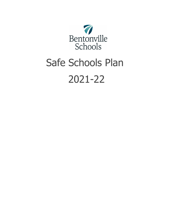

# Safe Schools Plan 2021-22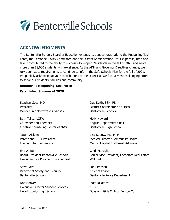

# **ACKNOWLEDGMENTS**

The Bentonville Schools Board of Education extends its deepest gratitude to the Reopening Task Force, the Personnel Policy Committee and the District Administration. Your expertise, time and talent contributed to the ability to successfully reopen 24 schools in the fall of 2020 and serve more than 18,000 students with excellence. As the ADH and Governor Directives change, we rely upon state requirements to continue to inform the Safe Schools Plan for the fall of 2021. We publicly acknowledge your contributions to the District as we face a most challenging effort to serve our students, families and community.

#### **Bentonville Reopening Task Force**

#### **Established Summer of 2020**

Stephen Goss, MD President Mercy Clinic Northwest Arkansas

Beth Tellez, LCSW Co-owner and Therapist Creative Counseling Center of NWA

Tatum Aicklen Parent and PTO President Evening Star Elementary

Eric White Board President Bentonville Schools Executive Vice President Brosnan Risk

Steve Vera Director of Safety and Security Bentonville Schools

Don Hoover Executive Director Student Services Lincoln Junior High School

Deb Keith, BSN, RN District Coordinator of Nurses Bentonville Schools

Holly Howard English Department Chair Bentonville High School

Lisa K. Low, MD, MPH Medical Director Community Health Mercy Hospital Northwest Arkansas

Cindi Marsiglio Senior Vice President, Corporate Real Estate **Walmart** 

Jon Simpson Chief of Police Bentonville Police Department

Matt Taliaferro CEO Boys and Girls Club of Benton Co.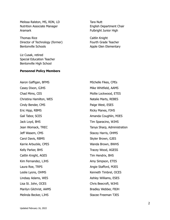Melissa Ralston, MS, RDN, LD Nutrition Associate Manager Aramark

Thomas Rice Director of Technology (former) Bentonville Schools

Liz Cusak, retired Special Education Teacher Bentonville High School

#### **Personnel Policy Members**

Tara Nutt English Department Chair Fulbright Junior High

Caitlin Knight Fourth Grade Teacher Apple Glen Elementary

Aaron Gaffigan, BFMS Casey Dixon, GJHS Chad Mims, CES Christina Hamilton, WES Cindy Bender, CMS Eric Hipp, RBMS Gail Tabor, SCES Jack Loyd, BHS Jean Womack, TREC Jeff Wasem, CMS Carol Davis, RBMS Karrie Arbuckle, CPES Kelly Parker, BHS Caitlin Knight, AGES Kim Fernandez, LJHS Laura Roe, TRPS Leslie Lyons, OHMS Lindsay Adams, WES Lisa St. John, OCES Marilyn Gilchrist, AAMS Melinda Becker, LJHS

MIchelle Fikes, CPEs Mike Whitfield, AAMS Mollie Lockwood, ETES Natalie Marts, REBES Paige West, ESES Ricky Manes, FJHS Amanda Coughlin, MJES Tim Sparacino, WJHS Tanya Sharp, Administration Stacey Harris, OHMS Skyler Brown, GJES Wanda Brown, BWHS Tracey Wood, AGESS Tim Hendrix, BHS Amy Simpson, ETES Angie Stafford, MJES Kenneth Timbrel, OCES Ashley Williams, ESES Chris Beecroft, WJHS Bradley Webber, FBJH Stacee Freeman TJES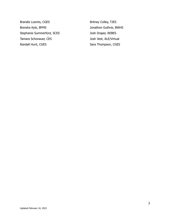Brandie Loomis, CGES Brendra Kyle, BFMS Stephanie Summerford, SCES Tamara Schonauer, CES Randall Hunt, CGES

Britney Colley, TJES Jonathon Guthrie, BWHS Josh Draper, REBES Josh Vest, ALE/Virtual Sara Thompson, CGES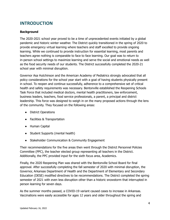# **INTRODUCTION**

## **Background**

The 2020-2021 school year proved to be a time of unprecedented events initiated by a global pandemic and historic winter weather. The District quickly transitioned in the spring of 2020 to provide emergency virtual learning where teachers and staff excelled to provide ongoing learning. While we continued to provide instruction for essential learning, most parents and teachers agree nothing is comparable to face to face learning. Our goal was to return to in-person school settings to maximize learning and serve the social and emotional needs as well as the food security needs of our students. The District successfully completed the 2020-21 school year with minimal disruption.

Governor Asa Hutchinson and the American Academy of Pediatrics strongly advocated that all policy considerations for the school year start with a goal of having students physically present in school. To reopen and continue successfully, adherence to a comprehensive set of critical health and safety requirements was necessary. Bentonville established the Reopening Schools Task Force that included medical doctors, mental health practitioners, law enforcement, business leaders, teachers, food service professionals, a parent, a principal and district leadership. This force was designed to weigh in on the many proposed actions through the lens of the community. They focused on the following areas:

- District Operations
- Facilities & Transportation
- Human Capital
- Student Supports (mental health)
- Stakeholder Communication & Community Engagement

Their recommendations for the five areas then went through the District Personnel Policies Committee (PPC), the teacher elected group representing all teachers in the District. Additionally, the PPC provided input for the sixth focus area, Academics.

Finally, the 2020 Reopening Plan was shared with the Bentonville School Board for final approval. After successfully completing the fall semester of 2020 with minimal disruption, the Governor, Arkansas Department of Health and the Department of Elementary and Secondary Education (DESE) modified directives to be recommendations. The District completed the spring semester of 2021 with even less disruption other than a historic snowstorm that interrupted in person learning for seven days.

As the summer months passed, a COVID-19 variant caused cases to increase in Arkansas. Vaccinations were easily accessible for ages 12 years and older throughout the spring and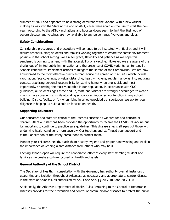summer of 2021 and appeared to be a strong deterrent of the variant. With a new variant making its way into the State at the end of 2021, cases were again on the rise to start the new year. According to the ADH, vaccinations and booster doses seem to limit the likelihood of severe disease, and vaccines are now available to any person ages five years and older.

# **Safety Considerations**

Considerable procedures and precautions will continue to be instituted with fidelity, and it will require teachers, staff, students and families working together to create the safest environment possible in the school setting. We ask for grace, flexibility and patience as we hope this pandemic is coming to an end with the accessibility of a vaccine. However, we are aware of the challenges of limited public immunization and the presence of COVID variants, as Bentonville Schools continue to implement actions to mitigate the spread of the Coronavirus. We are now accustomed to the most effective practices that reduce the spread of COVID-19 which include vaccination, face coverings, physical distancing, healthy hygiene, regular handwashing, reducing contact, practicing personal responsibility by staying home when one is sick and most importantly, protecting the most vulnerable in our population. In accordance with CDC guidelines, all students ages three and up, staff, and visitors are strongly encouraged to wear a mask or face covering (a) while attending school or an indoor school function in any school building, District facility, or (b) when riding in school-provided transportation. We ask for your diligence in helping us build a culture focused on health.

## **Supporting Educators**

Our educators and staff are critical to the District's success as we care for and educate all children. All of our staff has been provided the opportunity to receive the COVID-19 vaccine but it's important to continue to practice safe guidelines. This disease affects all ages but those with underlying health conditions more severely. Our teachers and staff need your support and faithful application of the safety precautions to protect them.

Monitor your children's health, teach them healthy hygiene and proper handwashing and explain the importance of keeping a safe distance from others who may be ill.

Keeping schools open will require the cooperative effort of every staff member, student and family as we create a culture focused on health and safety.

# **General Authority of the School District**

The Secretary of Health, in consultation with the Governor, has authority over all instances of quarantine and isolation throughout Arkansas, as necessary and appropriate to control disease in the state of Arkansas, as authorized by Ark. Code Ann. §§ 20-7-109 and 20-7-110.

Additionally, the Arkansas Department of Health Rules Pertaining to the Control of Reportable Diseases provides for the prevention and control of communicable diseases to protect the public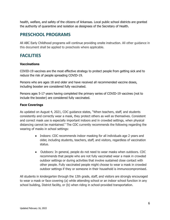health, welfare, and safety of the citizens of Arkansas. Local public school districts are granted the authority of quarantine and isolation as designees of the Secretary of Health.

# **PRESCHOOL PROGRAMS**

All ABC Early Childhood programs will continue providing onsite instruction. All other guidance in this document shall be applied to preschools where applicable.

# **FACILITIES**

#### **Vaccinations**

COVID-19 vaccines are the most effective strategy to protect people from getting sick and to reduce the risk of people spreading COVID-19.

Persons who are ages 18 and older and have received all recommended vaccine doses, including booster are considered fully vaccinated.

Persons ages 5-17 years having completed the primary series of COVID-19 vaccines (not to include the booster) are considered fully vaccinated.

#### **Face Coverings**

As updated on August 4, 2021, CDC guidance states, "When teachers, staff, and students consistently and correctly wear a mask, they protect others as well as themselves. Consistent and correct mask use is especially important indoors and in crowded settings, when physical distancing cannot be maintained." The CDC currently recommends the following regarding the wearing of masks in school settings:

- Indoors: CDC recommends indoor masking for all individuals age 2 years and older, including students, teachers, staff, and visitors, regardless of vaccination status.
- Outdoors: In general, people do not need to wear masks when outdoors. CDC recommends that people who are not fully vaccinated wear a mask in crowded outdoor settings or during activities that involve sustained close contact with other people. Fully vaccinated people might choose to wear a mask in crowded outdoor settings if they or someone in their household is immunocompromised.

All students in kindergarten through the 12th grade, staff, and visitors are strongly encouraged to wear a mask or face covering (a) while attending school or an indoor school function in any school building, District facility, or (b) when riding in school-provided transportation.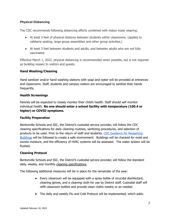# **Physical Distancing**

The CDC recommends following distancing efforts combined with indoor mask wearing:

- At least 3 feet of physical distance between students within classrooms. (applies to cafeteria seating, large group assemblies and other group activities.)
- At least 3 feet between students and adults, and between adults who are not fully vaccinated.

Effective March 1, 2022, physical distancing is recommended when possible, but is not required as building reopen to visitors and guests.

# **Hand Washing/Cleaning**

Hand sanitizer and/or hand washing stations with soap and water will be provided at entrances and classrooms. Staff, students and campus visitors are encouraged to sanitize their hands frequently.

# **Health Screenings**

Parents will be expected to closely monitor their child's health. Staff should self monitor individual health. **No one should enter a school facility with temperature (100.4 or higher) or COVID symptoms.**

# **Facility Preparation**

Bentonville Schools and SSC, the District's custodial service provider, will follow the CDC cleaning specifications for daily cleaning routines, sanitizing procedures, and selection of products to be used. Prior to the return of staff and students, CDC Guidance for [Reopening](https://www.cdc.gov/coronavirus/2019-ncov/php/building-water-system.html) [Buildings](https://www.cdc.gov/coronavirus/2019-ncov/php/building-water-system.html) will be followed to create a safe environment. Buildings will be checked for mold and excess moisture, and the efficiency of HVAC systems will be assessed. The water system will be flushed.

#### **Cleaning Protocol**

Bentonville Schools and SSC, the District's custodial service provider, will follow the standard daily, weekly, and monthly cleaning [specifications](https://drive.google.com/file/d/1tQbmyDr-ljuuozDRiNCC3Txb7W63DVNu/view?usp=sharing).

The following additional measures will be in place for the remainder of the year:

- Every classroom will be equipped with a spray bottle of virucidal disinfectant, cleaning gloves, and a cleaning cloth for use by District staff. Custodial staff will refill classroom bottles and provide clean cloths weekly or as needed.
- The daily and weekly Flu and Cold Protocol will be implemented, which adds: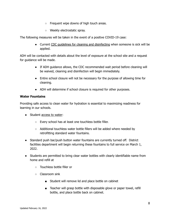- Frequent wipe downs of high touch areas.
- Weekly electrostatic spray.

The following measures will be taken in the event of a positive COVID-19 case:

● Current CDC guidelines for cleaning and [disinfecting](https://www.cdc.gov/coronavirus/2019-ncov/community/disinfecting-building-facility.html) when someone is sick will be applied.

ADH will be contacted with details about the level of exposure at the school site and a request for guidance will be made.

- If ADH guidance allows, the CDC recommended wait period before cleaning will be waived, cleaning and disinfection will begin immediately.
- Entire school closure will not be necessary for the purpose of allowing time for cleaning.
- ADH will determine if school closure is required for other purposes.

#### **Water Fountains**

Providing safe access to clean water for hydration is essential to maximizing readiness for learning in our schools.

- Student [access](https://drive.google.com/file/d/15Ogm6WdV4m77Df2D6UAJBm0HHTUHHPOD/view?usp=sharing) to water:
	- Every school has at least one touchless bottle filler.
	- Additional touchless water bottle fillers will be added where needed by retrofitting standard water fountains.
- Standard push bar/push button water fountains are currently turned off. District facilities department will begin returning these fountains to full service on March 1, 2022.
- Students are permitted to bring clear water bottles with clearly identifiable name from home and refill at
	- Touchless bottle filler or
	- Classroom sink
		- Student will remove lid and place bottle on cabinet
		- Teacher will grasp bottle with disposable glove or paper towel, refill bottle, and place bottle back on cabinet.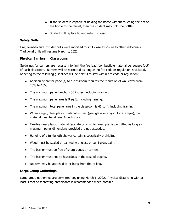- If the student is capable of holding the bottle without touching the rim of the bottle to the faucet, then the student may hold the bottle.
- Student will replace lid and return to seat.

# **Safety Drills**

Fire, Tornado and Intruder drills were modified to limit close exposure to other individuals. Traditional drills will resume March 1, 2022.

# **Physical Barriers in Classrooms**

Guidelines for barriers are necessary to limit the fire load (combustible material per square foot) of each classroom. Barriers will be permitted as long as no fire code or regulation is violated. Adhering to the following guidelines will be helpful to stay within fire code or regulation:

- Addition of barrier panel(s) to a classroom requires the reduction of wall cover from 20% to 10%.
- The maximum panel height is 36 inches, including framing.
- The maximum panel area is 9 sq ft, including framing.
- The maximum total panel area in the classroom is 45 sq ft, including framing.
- When a rigid, clear plastic material is used (plexiglass or acrylic, for example), the material must be at least ⅛ inch thick.
- Flexible clear plastic material (acetate or vinyl, for example) is permitted as long as maximum panel dimensions provided are not exceeded.
- Hanging of a full-length shower curtain is specifically prohibited.
- Wood must be sealed or painted with gloss or semi-gloss paint.
- The barrier must be free of sharp edges or corners.
- The barrier must not be hazardous in the case of tipping.
- No item may be attached to or hung from the ceiling.

# **Large Group Gatherings**

Large group gatherings are permitted beginning March 1, 2022. Physical distancing with at least 3 feet of separating participants is recommended when possible.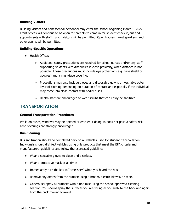#### **Building Visitors**

Building visitors and nonessential personnel may enter the school beginning March 1, 2022. Front offices will continue to be open for parents to come in for student check in/out and appointments with staff. Lunch visitors will be permitted. Open houses, guest speakers, and other events will be permitted.

#### **Building-Specific Operations**

- Health Offices
	- Additional safety precautions are required for school nurses and/or any staff supporting students with disabilities in close proximity, when distance is not possible: These precautions must include eye protection (e.g., face shield or goggles) and a mask/face covering.
	- Precautions may also include gloves and disposable gowns or washable outer layer of clothing depending on duration of contact and especially if the individual may come into close contact with bodily fluids.
	- Health staff are encouraged to wear scrubs that can easily be sanitized.

# **TRANSPORTATION**

#### **General Transportation Procedures**

While on buses, windows may be opened or cracked if doing so does not pose a safety risk. Face coverings are strongly encouraged.

#### **Bus Cleaning**

Bus sanitization should be completed daily on all vehicles used for student transportation. Individuals should disinfect vehicles using only products that meet the EPA criteria and manufacturers' guidelines and follow the expressed guidelines.

- Wear disposable gloves to clean and disinfect.
- Wear a protective mask at all times.
- Immediately turn the key to "accessory" when you board the bus.
- Remove any debris from the surface using a broom, electric blower, or wipe.
- Generously spray all surfaces with a fine mist using the school approved cleaning solution. You should spray the surfaces you are facing as you walk to the back and again from the back moving forward.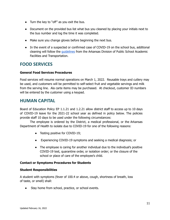- Turn the key to "off" as you exit the bus.
- Document on the provided bus list what bus you cleaned by placing your initials next to the bus number and log the time it was completed.
- Make sure you change gloves before beginning the next bus.
- In the event of a suspected or confirmed case of COVID-19 on the school bus, additional cleaning will follow the [guidelines](https://drive.google.com/file/d/1jwRF-hUqZlWRe1zoBmpbkuGeYeRotZQB/view?usp=sharing) from the Arkansas Division of Public School Academic Facilities and Transportation.

# **FOOD SERVICES**

#### **General Food Services Procedures**

Food services will resume normal operations on March 1, 2022. Reusable trays and cutlery may be used, and customers will be permitted to self-select fruit and vegetable servings and milk from the serving line. Ala carte items may be purchased. At checkout, customer ID numbers will be entered by the customer using a keypad.

# **HUMAN CAPITAL**

Board of Education Policy EP 1.1.21 and 1.2.21 allow district staff to access up to 10 days of COVID-19 leave for the 2021-22 school year as defined in policy below. The policies provide staff 10 days to be used under the following circumstances:

The employee is ordered by the District, a medical professional, or the Arkansas Department of Health to isolate due to COVID-19 for one of the following reasons:

- Testing positive for COVID-19;
- Experiencing COVID-19 symptoms and seeking a medical diagnosis; or
- The employee is caring for another individual due to the individual's positive COVID-19 test, quarantine order, or isolation order; or the closure of the school or place of care of the employee's child.

# **Contact or Symptoms Procedures for Students**

#### **Student Responsibilities**

A student with symptoms (fever of 100.4 or above, cough, shortness of breath, loss of taste, or smell) shall:

• Stay home from school, practice, or school events.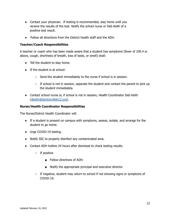- Contact your physician. If testing is recommended, stay home until you receive the results of the test. Notify the school nurse or Deb Keith of a positive test result.
- Follow all directions from the District health staff and the ADH.

#### **Teacher/Coach Responsibilities**

A teacher or coach who has been made aware that a student has symptoms (fever of 100.4 or above, cough, shortness of breath, loss of taste, or smell) shall:

- Tell the student to stay home.
- If the student is at school:
	- Send the student immediately to the nurse if school is in session.
	- If school is not in session, separate the student and contact the parent to pick up the student immediately.
- Contact school nurse or, if school is not in session, Health Coordinator Deb Keith [\(dkeith@bentonvillek12.org](mailto:dkeith@bentonvillek12.org)).

#### **Nurse/Health Coordinator Responsibilities**

The Nurse/District Health Coordinator will:

- If a student is present on campus with symptoms, assess, isolate, and arrange for the student to go home.
- Urge COVID-19 testing.
- Notify SSC to properly disinfect any contaminated area.
- Contact ADH hotline 24 hours after dismissal to check testing results.
	- If positive
		- Follow directives of ADH.
		- Notify the appropriate principal and executive director.
	- If negative, student may return to school if not showing signs or symptoms of COVID-19.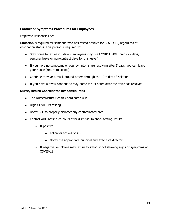#### **Contact or Symptoms Procedures for Employees**

Employee Responsibilities

**Isolation** is required for someone who has tested positive for COVID-19, regardless of vaccination status. This person is required to:

- Stay home for at least 5 days (Employees may use COVID LEAVE, paid sick days, personal leave or non-contract days for this leave.)
- If you have no symptoms or your symptoms are resolving after 5 days, you can leave your house (return to school).
- Continue to wear a mask around others through the 10th day of isolation.
- If you have a fever, continue to stay home for 24 hours after the fever has resolved.

#### **Nurse/Health Coordinator Responsibilities**

- The Nurse/District Health Coordinator will:
- Urge COVID-19 testing.
- Notify SSC to properly disinfect any contaminated area.
- Contact ADH hotline 24 hours after dismissal to check testing results.
	- If positive
		- Follow directives of ADH.
		- Notify the appropriate principal and executive director.
	- $\circ$  If negative, employee may return to school if not showing signs or symptoms of COVID-19.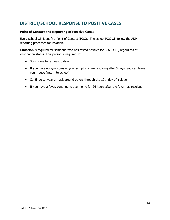# **DISTRICT/SCHOOL RESPONSE TO POSITIVE CASES**

#### **Point of Contact and Reporting of Positive Case**s

Every school will identify a Point of Contact (POC). The school POC will follow the ADH reporting processes for isolation.

**Isolation** is required for someone who has tested positive for COVID-19, regardless of vaccination status. This person is required to:

- Stay home for at least 5 days.
- If you have no symptoms or your symptoms are resolving after 5 days, you can leave your house (return to school).
- Continue to wear a mask around others through the 10th day of isolation.
- If you have a fever, continue to stay home for 24 hours after the fever has resolved.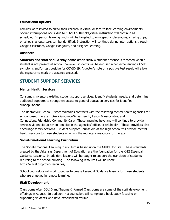# **Educational Options**

Families were invited to enroll their children in virtual or face to face learning environments. Should interruptions occur due to COVID outbreaks,virtual instruction will continue as scheduled. In person learning pivots will be targeted to only specific classrooms, small groups, or schools as outbreaks can be identified. Instruction will continue during interruptions through Google Classroom, Google Hangouts, and assigned learning.

#### **Absences**

**Students and staff should stay home when sick.** A student absence is recorded when a student is not present at school; however, students will be excused when experiencing COVID symptoms and/or test positive for COVID-19. A doctor's note or a positive test result will allow the registrar to mark the absence excused.

# **STUDENT SUPPORT SERVICES**

#### **Mental Health Services**

Constantly, inventory existing student support services, identify students' needs, and determine additional supports to strengthen access to general education services for identified subpopulations.

The Bentonville School District maintains contracts with the following mental health agencies for school-based therapy: Ozark Guidance/Arisa Health, Eason & Associates, and Connections/Friendship Community Care. These agencies have and will continue to provide services via on-site at school, on-site in the agencies' office, or telehealth. These providers also encourage family sessions. Student Support Counselors at the high school will provide mental health services to those students who lack the monetary resources for therapy.

#### **Social-Emotional Learning Curriculum**

The Social-Emotional Learning Curriculum is based upon the GUIDE for Life. These standards created by the Arkansas Department of Education are the foundation for the K-12 Essential Guidance Lessons. In addition, lessons will be taught to support the transition of students returning to the school building. The following resources will be used: <https://casel.org/covid-resources/>

School counselors will work together to create Essential Guidance lessons for those students who are engaged in remote learning.

#### **Staff Development**

Classrooms After COVID and Trauma-Informed Classrooms are some of the staff development offerings in August. In addition, K-8 counselors will complete a book study focusing on supporting students who have experienced trauma.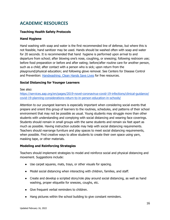# **ACADEMIC RESOURCES**

# **Teaching Health Safety Protocols**

#### **Hand Hygiene**

Hand washing with soap and water is the first recommended line of defense, but where this is not feasible, hand sanitizer may be used. Hands should be washed often with soap and water for 20 seconds. It is recommended that hand hygiene is performed upon arrival to and departure from school; after blowing one's nose, coughing, or sneezing; following restroom use; before food preparation or before and after eating; before/after routine care for another person, such as a child; after contact with a person who is sick; upon return from the playground/physical education; and following glove removal. See Centers for Disease Control and Prevention: [Handwashing:](https://www.cdc.gov/handwashing/posters.html) Clean Hands Save Lives for free resources.

#### **Social Distancing for Younger Learners**

See also:

[https://services.aap.org/en/pages/2019-novel-coronavirus-covid-19-infections/clinical-guidance/](https://services.aap.org/en/pages/2019-novel-coronavirus-covid-19-infections/clinical-guidance/covid-19-planning-considerations-return-to-in-person-education-in-schools/) [covid-19-planning-considerations-return-to-in-person-education-in-schools/](https://services.aap.org/en/pages/2019-novel-coronavirus-covid-19-infections/clinical-guidance/covid-19-planning-considerations-return-to-in-person-education-in-schools/)

Attention to our youngest learners is especially important when considering social events that prepare and orient this group of learners to the routines, schedules, and patterns of their school environment that may not be possible as usual. Young students may struggle more than other students with understanding and complying with social distancing and wearing face coverings. Students should remain in small groups with the same students and remain six feet apart as much as possible. Having instruction outside may help with social distancing requirements. Teachers should rearrange furniture and play spaces to meet social distancing requirements, when possible. Find creative ways to allow students to create their own space using yarn, masking tape, or other materials.

#### **Modeling and Reinforcing Strategies**

Teachers should implement strategies to model and reinforce social and physical distancing and movement. Suggestions include:

- Use carpet squares, mats, trays, or other visuals for spacing.
- Model social distancing when interacting with children, families, and staff.
- Create and develop a scripted story/role play around social distancing, as well as hand washing, proper etiquette for sneezes, coughs, etc.
- Give frequent verbal reminders to children.
- Hang pictures within the school building to give constant reminders.